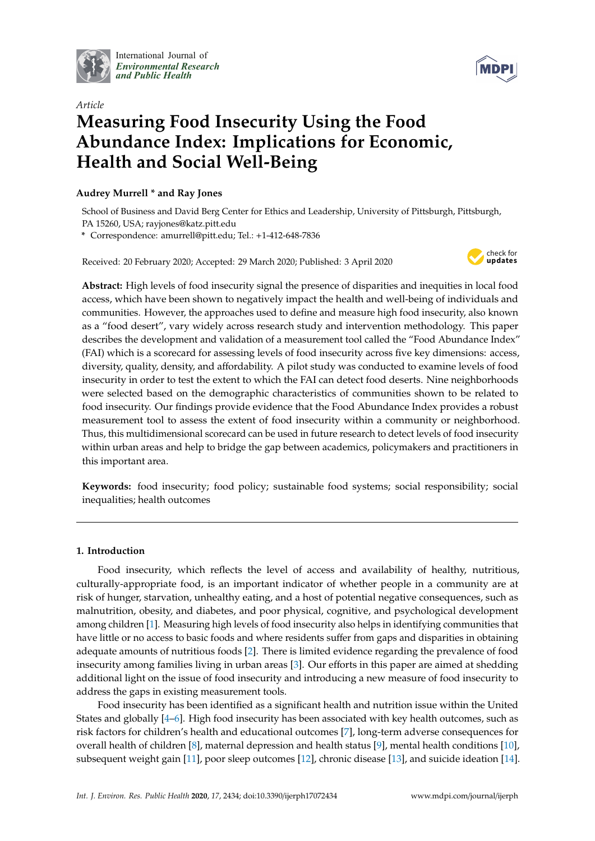

International Journal of *[Environmental Research](http://www.mdpi.com/journal/ijerph) and Public Health*



# *Article* **Measuring Food Insecurity Using the Food Abundance Index: Implications for Economic, Health and Social Well-Being**

# **Audrey Murrell \* and Ray Jones**

School of Business and David Berg Center for Ethics and Leadership, University of Pittsburgh, Pittsburgh, PA 15260, USA; rayjones@katz.pitt.edu

**\*** Correspondence: amurrell@pitt.edu; Tel.: +1-412-648-7836

Received: 20 February 2020; Accepted: 29 March 2020; Published: 3 April 2020



**Abstract:** High levels of food insecurity signal the presence of disparities and inequities in local food access, which have been shown to negatively impact the health and well-being of individuals and communities. However, the approaches used to define and measure high food insecurity, also known as a "food desert", vary widely across research study and intervention methodology. This paper describes the development and validation of a measurement tool called the "Food Abundance Index" (FAI) which is a scorecard for assessing levels of food insecurity across five key dimensions: access, diversity, quality, density, and affordability. A pilot study was conducted to examine levels of food insecurity in order to test the extent to which the FAI can detect food deserts. Nine neighborhoods were selected based on the demographic characteristics of communities shown to be related to food insecurity. Our findings provide evidence that the Food Abundance Index provides a robust measurement tool to assess the extent of food insecurity within a community or neighborhood. Thus, this multidimensional scorecard can be used in future research to detect levels of food insecurity within urban areas and help to bridge the gap between academics, policymakers and practitioners in this important area.

**Keywords:** food insecurity; food policy; sustainable food systems; social responsibility; social inequalities; health outcomes

# **1. Introduction**

Food insecurity, which reflects the level of access and availability of healthy, nutritious, culturally-appropriate food, is an important indicator of whether people in a community are at risk of hunger, starvation, unhealthy eating, and a host of potential negative consequences, such as malnutrition, obesity, and diabetes, and poor physical, cognitive, and psychological development among children [\[1\]](#page-9-0). Measuring high levels of food insecurity also helps in identifying communities that have little or no access to basic foods and where residents suffer from gaps and disparities in obtaining adequate amounts of nutritious foods [\[2\]](#page-9-1). There is limited evidence regarding the prevalence of food insecurity among families living in urban areas [\[3\]](#page-9-2). Our efforts in this paper are aimed at shedding additional light on the issue of food insecurity and introducing a new measure of food insecurity to address the gaps in existing measurement tools.

Food insecurity has been identified as a significant health and nutrition issue within the United States and globally [\[4–](#page-9-3)[6\]](#page-9-4). High food insecurity has been associated with key health outcomes, such as risk factors for children's health and educational outcomes [\[7\]](#page-9-5), long-term adverse consequences for overall health of children [\[8\]](#page-9-6), maternal depression and health status [\[9\]](#page-9-7), mental health conditions [\[10\]](#page-9-8), subsequent weight gain [\[11\]](#page-9-9), poor sleep outcomes [\[12\]](#page-9-10), chronic disease [\[13\]](#page-9-11), and suicide ideation [\[14\]](#page-9-12).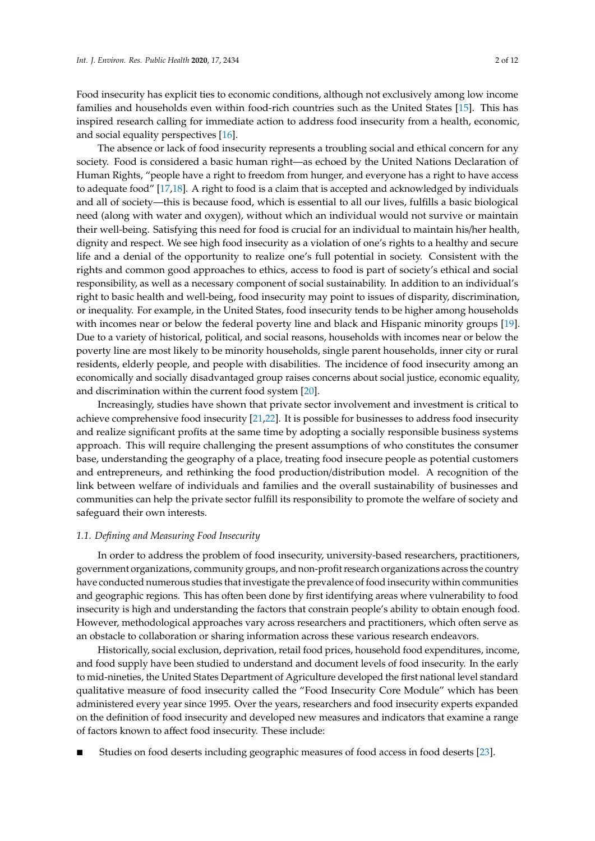Food insecurity has explicit ties to economic conditions, although not exclusively among low income families and households even within food-rich countries such as the United States [\[15\]](#page-9-13). This has inspired research calling for immediate action to address food insecurity from a health, economic, and social equality perspectives [\[16\]](#page-9-14).

The absence or lack of food insecurity represents a troubling social and ethical concern for any society. Food is considered a basic human right—as echoed by the United Nations Declaration of Human Rights, "people have a right to freedom from hunger, and everyone has a right to have access to adequate food" [\[17,](#page-9-15)[18\]](#page-9-16). A right to food is a claim that is accepted and acknowledged by individuals and all of society—this is because food, which is essential to all our lives, fulfills a basic biological need (along with water and oxygen), without which an individual would not survive or maintain their well-being. Satisfying this need for food is crucial for an individual to maintain his/her health, dignity and respect. We see high food insecurity as a violation of one's rights to a healthy and secure life and a denial of the opportunity to realize one's full potential in society. Consistent with the rights and common good approaches to ethics, access to food is part of society's ethical and social responsibility, as well as a necessary component of social sustainability. In addition to an individual's right to basic health and well-being, food insecurity may point to issues of disparity, discrimination, or inequality. For example, in the United States, food insecurity tends to be higher among households with incomes near or below the federal poverty line and black and Hispanic minority groups [\[19\]](#page-9-17). Due to a variety of historical, political, and social reasons, households with incomes near or below the poverty line are most likely to be minority households, single parent households, inner city or rural residents, elderly people, and people with disabilities. The incidence of food insecurity among an economically and socially disadvantaged group raises concerns about social justice, economic equality, and discrimination within the current food system [\[20\]](#page-9-18).

Increasingly, studies have shown that private sector involvement and investment is critical to achieve comprehensive food insecurity [\[21](#page-9-19)[,22\]](#page-10-0). It is possible for businesses to address food insecurity and realize significant profits at the same time by adopting a socially responsible business systems approach. This will require challenging the present assumptions of who constitutes the consumer base, understanding the geography of a place, treating food insecure people as potential customers and entrepreneurs, and rethinking the food production/distribution model. A recognition of the link between welfare of individuals and families and the overall sustainability of businesses and communities can help the private sector fulfill its responsibility to promote the welfare of society and safeguard their own interests.

# *1.1. Defining and Measuring Food Insecurity*

In order to address the problem of food insecurity, university-based researchers, practitioners, government organizations, community groups, and non-profit research organizations across the country have conducted numerous studies that investigate the prevalence of food insecurity within communities and geographic regions. This has often been done by first identifying areas where vulnerability to food insecurity is high and understanding the factors that constrain people's ability to obtain enough food. However, methodological approaches vary across researchers and practitioners, which often serve as an obstacle to collaboration or sharing information across these various research endeavors.

Historically, social exclusion, deprivation, retail food prices, household food expenditures, income, and food supply have been studied to understand and document levels of food insecurity. In the early to mid-nineties, the United States Department of Agriculture developed the first national level standard qualitative measure of food insecurity called the "Food Insecurity Core Module" which has been administered every year since 1995. Over the years, researchers and food insecurity experts expanded on the definition of food insecurity and developed new measures and indicators that examine a range of factors known to affect food insecurity. These include:

Studies on food deserts including geographic measures of food access in food deserts [\[23\]](#page-10-1).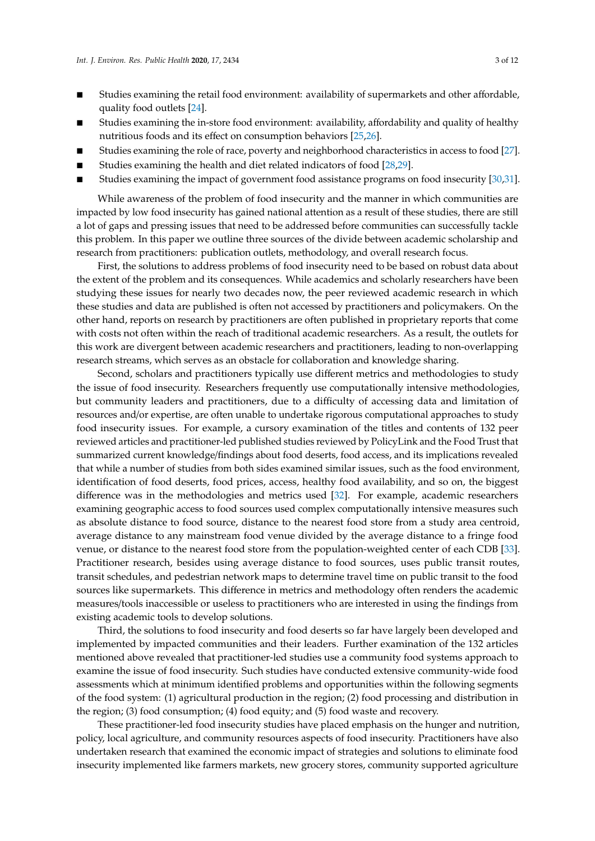- Studies examining the retail food environment: availability of supermarkets and other affordable, quality food outlets [\[24\]](#page-10-2).
- Studies examining the in-store food environment: availability, affordability and quality of healthy nutritious foods and its effect on consumption behaviors [\[25,](#page-10-3)[26\]](#page-10-4).
- Studies examining the role of race, poverty and neighborhood characteristics in access to food [\[27\]](#page-10-5).
- Studies examining the health and diet related indicators of food [\[28,](#page-10-6)[29\]](#page-10-7).
- Studies examining the impact of government food assistance programs on food insecurity [\[30](#page-10-8)[,31\]](#page-10-9).

While awareness of the problem of food insecurity and the manner in which communities are impacted by low food insecurity has gained national attention as a result of these studies, there are still a lot of gaps and pressing issues that need to be addressed before communities can successfully tackle this problem. In this paper we outline three sources of the divide between academic scholarship and research from practitioners: publication outlets, methodology, and overall research focus.

First, the solutions to address problems of food insecurity need to be based on robust data about the extent of the problem and its consequences. While academics and scholarly researchers have been studying these issues for nearly two decades now, the peer reviewed academic research in which these studies and data are published is often not accessed by practitioners and policymakers. On the other hand, reports on research by practitioners are often published in proprietary reports that come with costs not often within the reach of traditional academic researchers. As a result, the outlets for this work are divergent between academic researchers and practitioners, leading to non-overlapping research streams, which serves as an obstacle for collaboration and knowledge sharing.

Second, scholars and practitioners typically use different metrics and methodologies to study the issue of food insecurity. Researchers frequently use computationally intensive methodologies, but community leaders and practitioners, due to a difficulty of accessing data and limitation of resources and/or expertise, are often unable to undertake rigorous computational approaches to study food insecurity issues. For example, a cursory examination of the titles and contents of 132 peer reviewed articles and practitioner-led published studies reviewed by PolicyLink and the Food Trust that summarized current knowledge/findings about food deserts, food access, and its implications revealed that while a number of studies from both sides examined similar issues, such as the food environment, identification of food deserts, food prices, access, healthy food availability, and so on, the biggest difference was in the methodologies and metrics used [\[32\]](#page-10-10). For example, academic researchers examining geographic access to food sources used complex computationally intensive measures such as absolute distance to food source, distance to the nearest food store from a study area centroid, average distance to any mainstream food venue divided by the average distance to a fringe food venue, or distance to the nearest food store from the population-weighted center of each CDB [\[33\]](#page-10-11). Practitioner research, besides using average distance to food sources, uses public transit routes, transit schedules, and pedestrian network maps to determine travel time on public transit to the food sources like supermarkets. This difference in metrics and methodology often renders the academic measures/tools inaccessible or useless to practitioners who are interested in using the findings from existing academic tools to develop solutions.

Third, the solutions to food insecurity and food deserts so far have largely been developed and implemented by impacted communities and their leaders. Further examination of the 132 articles mentioned above revealed that practitioner-led studies use a community food systems approach to examine the issue of food insecurity. Such studies have conducted extensive community-wide food assessments which at minimum identified problems and opportunities within the following segments of the food system: (1) agricultural production in the region; (2) food processing and distribution in the region; (3) food consumption; (4) food equity; and (5) food waste and recovery.

These practitioner-led food insecurity studies have placed emphasis on the hunger and nutrition, policy, local agriculture, and community resources aspects of food insecurity. Practitioners have also undertaken research that examined the economic impact of strategies and solutions to eliminate food insecurity implemented like farmers markets, new grocery stores, community supported agriculture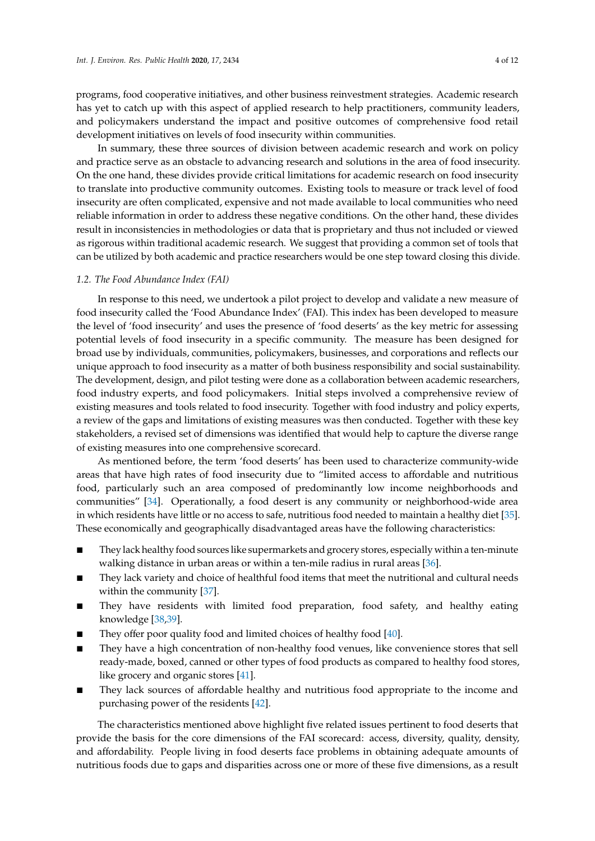programs, food cooperative initiatives, and other business reinvestment strategies. Academic research has yet to catch up with this aspect of applied research to help practitioners, community leaders, and policymakers understand the impact and positive outcomes of comprehensive food retail development initiatives on levels of food insecurity within communities.

In summary, these three sources of division between academic research and work on policy and practice serve as an obstacle to advancing research and solutions in the area of food insecurity. On the one hand, these divides provide critical limitations for academic research on food insecurity to translate into productive community outcomes. Existing tools to measure or track level of food insecurity are often complicated, expensive and not made available to local communities who need reliable information in order to address these negative conditions. On the other hand, these divides result in inconsistencies in methodologies or data that is proprietary and thus not included or viewed as rigorous within traditional academic research. We suggest that providing a common set of tools that can be utilized by both academic and practice researchers would be one step toward closing this divide.

#### *1.2. The Food Abundance Index (FAI)*

In response to this need, we undertook a pilot project to develop and validate a new measure of food insecurity called the 'Food Abundance Index' (FAI). This index has been developed to measure the level of 'food insecurity' and uses the presence of 'food deserts' as the key metric for assessing potential levels of food insecurity in a specific community. The measure has been designed for broad use by individuals, communities, policymakers, businesses, and corporations and reflects our unique approach to food insecurity as a matter of both business responsibility and social sustainability. The development, design, and pilot testing were done as a collaboration between academic researchers, food industry experts, and food policymakers. Initial steps involved a comprehensive review of existing measures and tools related to food insecurity. Together with food industry and policy experts, a review of the gaps and limitations of existing measures was then conducted. Together with these key stakeholders, a revised set of dimensions was identified that would help to capture the diverse range of existing measures into one comprehensive scorecard.

As mentioned before, the term 'food deserts' has been used to characterize community-wide areas that have high rates of food insecurity due to "limited access to affordable and nutritious food, particularly such an area composed of predominantly low income neighborhoods and communities" [\[34\]](#page-10-12). Operationally, a food desert is any community or neighborhood-wide area in which residents have little or no access to safe, nutritious food needed to maintain a healthy diet [\[35\]](#page-10-13). These economically and geographically disadvantaged areas have the following characteristics:

- They lack healthy food sources like supermarkets and grocery stores, especially within a ten-minute walking distance in urban areas or within a ten-mile radius in rural areas [\[36\]](#page-10-14).
- They lack variety and choice of healthful food items that meet the nutritional and cultural needs within the community [\[37\]](#page-10-15).
- They have residents with limited food preparation, food safety, and healthy eating knowledge [\[38,](#page-10-16)[39\]](#page-10-17).
- They offer poor quality food and limited choices of healthy food [\[40\]](#page-10-18).
- They have a high concentration of non-healthy food venues, like convenience stores that sell ready-made, boxed, canned or other types of food products as compared to healthy food stores, like grocery and organic stores [\[41\]](#page-10-19).
- They lack sources of affordable healthy and nutritious food appropriate to the income and purchasing power of the residents [\[42\]](#page-10-20).

The characteristics mentioned above highlight five related issues pertinent to food deserts that provide the basis for the core dimensions of the FAI scorecard: access, diversity, quality, density, and affordability. People living in food deserts face problems in obtaining adequate amounts of nutritious foods due to gaps and disparities across one or more of these five dimensions, as a result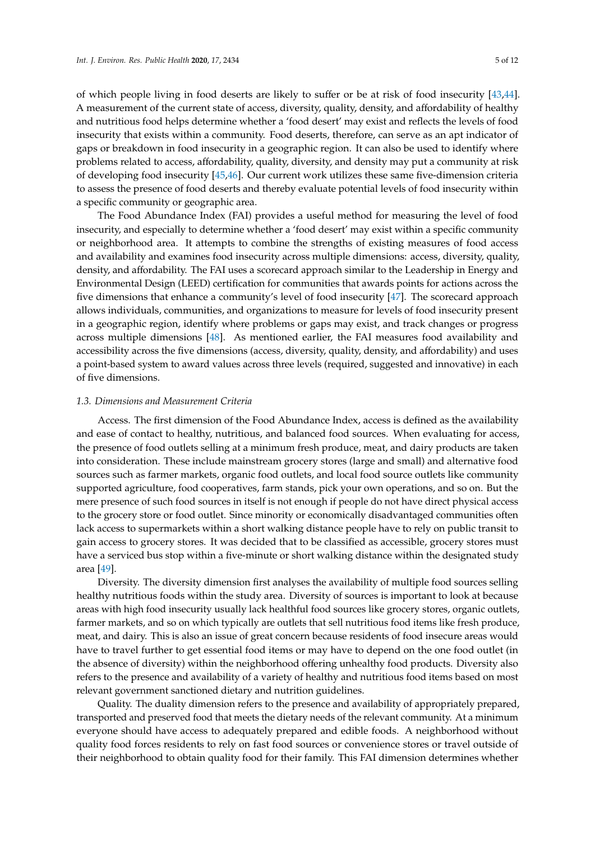of which people living in food deserts are likely to suffer or be at risk of food insecurity [\[43,](#page-10-21)[44\]](#page-10-22). A measurement of the current state of access, diversity, quality, density, and affordability of healthy and nutritious food helps determine whether a 'food desert' may exist and reflects the levels of food insecurity that exists within a community. Food deserts, therefore, can serve as an apt indicator of gaps or breakdown in food insecurity in a geographic region. It can also be used to identify where problems related to access, affordability, quality, diversity, and density may put a community at risk of developing food insecurity [\[45](#page-11-0)[,46\]](#page-11-1). Our current work utilizes these same five-dimension criteria to assess the presence of food deserts and thereby evaluate potential levels of food insecurity within a specific community or geographic area.

The Food Abundance Index (FAI) provides a useful method for measuring the level of food insecurity, and especially to determine whether a 'food desert' may exist within a specific community or neighborhood area. It attempts to combine the strengths of existing measures of food access and availability and examines food insecurity across multiple dimensions: access, diversity, quality, density, and affordability. The FAI uses a scorecard approach similar to the Leadership in Energy and Environmental Design (LEED) certification for communities that awards points for actions across the five dimensions that enhance a community's level of food insecurity [\[47\]](#page-11-2). The scorecard approach allows individuals, communities, and organizations to measure for levels of food insecurity present in a geographic region, identify where problems or gaps may exist, and track changes or progress across multiple dimensions [\[48\]](#page-11-3). As mentioned earlier, the FAI measures food availability and accessibility across the five dimensions (access, diversity, quality, density, and affordability) and uses a point-based system to award values across three levels (required, suggested and innovative) in each of five dimensions.

#### *1.3. Dimensions and Measurement Criteria*

Access. The first dimension of the Food Abundance Index, access is defined as the availability and ease of contact to healthy, nutritious, and balanced food sources. When evaluating for access, the presence of food outlets selling at a minimum fresh produce, meat, and dairy products are taken into consideration. These include mainstream grocery stores (large and small) and alternative food sources such as farmer markets, organic food outlets, and local food source outlets like community supported agriculture, food cooperatives, farm stands, pick your own operations, and so on. But the mere presence of such food sources in itself is not enough if people do not have direct physical access to the grocery store or food outlet. Since minority or economically disadvantaged communities often lack access to supermarkets within a short walking distance people have to rely on public transit to gain access to grocery stores. It was decided that to be classified as accessible, grocery stores must have a serviced bus stop within a five-minute or short walking distance within the designated study area [\[49\]](#page-11-4).

Diversity. The diversity dimension first analyses the availability of multiple food sources selling healthy nutritious foods within the study area. Diversity of sources is important to look at because areas with high food insecurity usually lack healthful food sources like grocery stores, organic outlets, farmer markets, and so on which typically are outlets that sell nutritious food items like fresh produce, meat, and dairy. This is also an issue of great concern because residents of food insecure areas would have to travel further to get essential food items or may have to depend on the one food outlet (in the absence of diversity) within the neighborhood offering unhealthy food products. Diversity also refers to the presence and availability of a variety of healthy and nutritious food items based on most relevant government sanctioned dietary and nutrition guidelines.

Quality. The duality dimension refers to the presence and availability of appropriately prepared, transported and preserved food that meets the dietary needs of the relevant community. At a minimum everyone should have access to adequately prepared and edible foods. A neighborhood without quality food forces residents to rely on fast food sources or convenience stores or travel outside of their neighborhood to obtain quality food for their family. This FAI dimension determines whether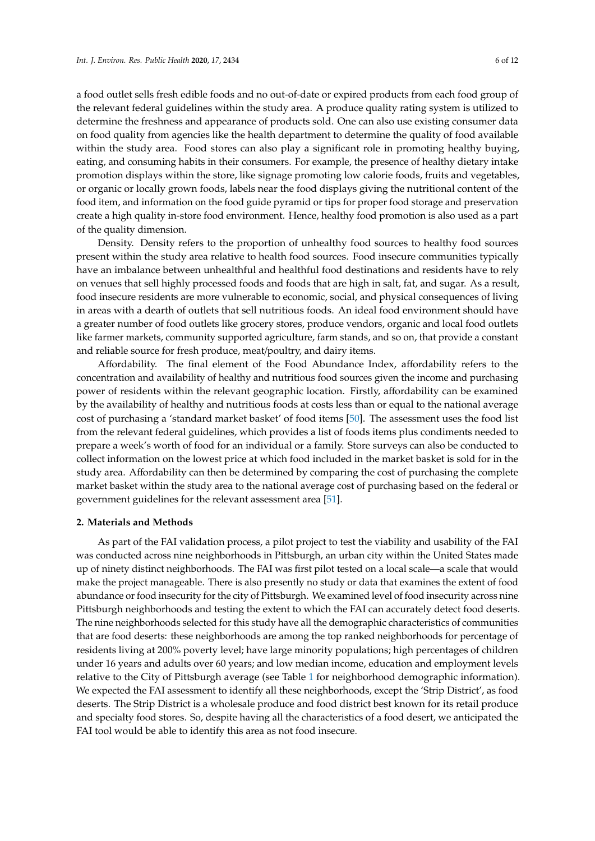a food outlet sells fresh edible foods and no out-of-date or expired products from each food group of the relevant federal guidelines within the study area. A produce quality rating system is utilized to determine the freshness and appearance of products sold. One can also use existing consumer data on food quality from agencies like the health department to determine the quality of food available within the study area. Food stores can also play a significant role in promoting healthy buying, eating, and consuming habits in their consumers. For example, the presence of healthy dietary intake promotion displays within the store, like signage promoting low calorie foods, fruits and vegetables, or organic or locally grown foods, labels near the food displays giving the nutritional content of the food item, and information on the food guide pyramid or tips for proper food storage and preservation create a high quality in-store food environment. Hence, healthy food promotion is also used as a part of the quality dimension.

Density. Density refers to the proportion of unhealthy food sources to healthy food sources present within the study area relative to health food sources. Food insecure communities typically have an imbalance between unhealthful and healthful food destinations and residents have to rely on venues that sell highly processed foods and foods that are high in salt, fat, and sugar. As a result, food insecure residents are more vulnerable to economic, social, and physical consequences of living in areas with a dearth of outlets that sell nutritious foods. An ideal food environment should have a greater number of food outlets like grocery stores, produce vendors, organic and local food outlets like farmer markets, community supported agriculture, farm stands, and so on, that provide a constant and reliable source for fresh produce, meat/poultry, and dairy items.

Affordability. The final element of the Food Abundance Index, affordability refers to the concentration and availability of healthy and nutritious food sources given the income and purchasing power of residents within the relevant geographic location. Firstly, affordability can be examined by the availability of healthy and nutritious foods at costs less than or equal to the national average cost of purchasing a 'standard market basket' of food items [\[50\]](#page-11-5). The assessment uses the food list from the relevant federal guidelines, which provides a list of foods items plus condiments needed to prepare a week's worth of food for an individual or a family. Store surveys can also be conducted to collect information on the lowest price at which food included in the market basket is sold for in the study area. Affordability can then be determined by comparing the cost of purchasing the complete market basket within the study area to the national average cost of purchasing based on the federal or government guidelines for the relevant assessment area [\[51\]](#page-11-6).

#### **2. Materials and Methods**

As part of the FAI validation process, a pilot project to test the viability and usability of the FAI was conducted across nine neighborhoods in Pittsburgh, an urban city within the United States made up of ninety distinct neighborhoods. The FAI was first pilot tested on a local scale—a scale that would make the project manageable. There is also presently no study or data that examines the extent of food abundance or food insecurity for the city of Pittsburgh. We examined level of food insecurity across nine Pittsburgh neighborhoods and testing the extent to which the FAI can accurately detect food deserts. The nine neighborhoods selected for this study have all the demographic characteristics of communities that are food deserts: these neighborhoods are among the top ranked neighborhoods for percentage of residents living at 200% poverty level; have large minority populations; high percentages of children under 16 years and adults over 60 years; and low median income, education and employment levels relative to the City of Pittsburgh average (see Table [1](#page-6-0) for neighborhood demographic information). We expected the FAI assessment to identify all these neighborhoods, except the 'Strip District', as food deserts. The Strip District is a wholesale produce and food district best known for its retail produce and specialty food stores. So, despite having all the characteristics of a food desert, we anticipated the FAI tool would be able to identify this area as not food insecure.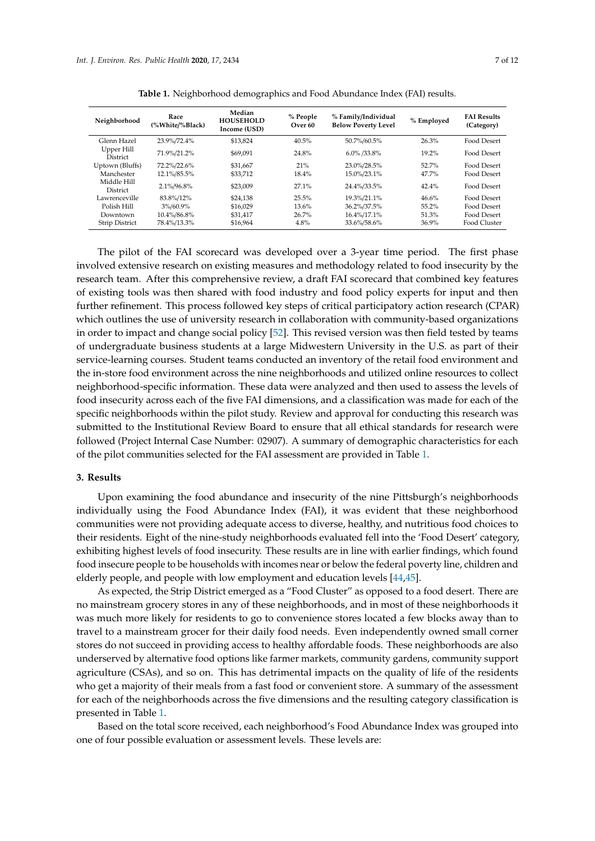<span id="page-6-0"></span>

| Neighborhood                   | Race<br>(%White/%Black) | Median<br><b>HOUSEHOLD</b><br>Income (USD) | % People<br>Over 60 | % Family/Individual<br><b>Below Poverty Level</b> | % Employed | <b>FAI Results</b><br>(Category) |
|--------------------------------|-------------------------|--------------------------------------------|---------------------|---------------------------------------------------|------------|----------------------------------|
| Glenn Hazel                    | 23.9%/72.4%             | \$13,824                                   | 40.5%               | 50.7%/60.5%                                       | 26.3%      | Food Desert                      |
| Upper Hill<br><b>District</b>  | 71.9%/21.2%             | \$69.091                                   | 24.8%               | $6.0\%$ /33.8%                                    | $19.2\%$   | Food Desert                      |
| Uptown (Bluffs)                | 72.2%/22.6%             | \$31.667                                   | 21%                 | 23.0%/28.5%                                       | $52.7\%$   | Food Desert                      |
| Manchester                     | 12.1%/85.5%             | \$33.712                                   | 18.4%               | 15.0%/23.1%                                       | 47.7%      | Food Desert                      |
| Middle Hill<br><b>District</b> | 2.1%/96.8%              | \$23,009                                   | $27.1\%$            | 24.4%/33.5%                                       | 42.4%      | Food Desert                      |
| Lawrenceville                  | 83.8%/12%               | \$24.138                                   | 25.5%               | 19.3%/21.1%                                       | 46.6%      | Food Desert                      |
| Polish Hill                    | 3%/60.9%                | \$16.029                                   | 13.6%               | 36.2%/37.5%                                       | 55.2%      | Food Desert                      |
| Downtown                       | 10.4%/86.8%             | \$31.417                                   | $26.7\%$            | 16.4%/17.1%                                       | 51.3%      | Food Desert                      |
| <b>Strip District</b>          | 78.4%/13.3%             | \$16.964                                   | 4.8%                | 33.6%/58.6%                                       | 36.9%      | Food Cluster                     |

**Table 1.** Neighborhood demographics and Food Abundance Index (FAI) results.

The pilot of the FAI scorecard was developed over a 3-year time period. The first phase involved extensive research on existing measures and methodology related to food insecurity by the research team. After this comprehensive review, a draft FAI scorecard that combined key features of existing tools was then shared with food industry and food policy experts for input and then further refinement. This process followed key steps of critical participatory action research (CPAR) which outlines the use of university research in collaboration with community-based organizations in order to impact and change social policy [\[52\]](#page-11-7). This revised version was then field tested by teams of undergraduate business students at a large Midwestern University in the U.S. as part of their service-learning courses. Student teams conducted an inventory of the retail food environment and the in-store food environment across the nine neighborhoods and utilized online resources to collect neighborhood-specific information. These data were analyzed and then used to assess the levels of food insecurity across each of the five FAI dimensions, and a classification was made for each of the specific neighborhoods within the pilot study. Review and approval for conducting this research was submitted to the Institutional Review Board to ensure that all ethical standards for research were followed (Project Internal Case Number: 02907). A summary of demographic characteristics for each of the pilot communities selected for the FAI assessment are provided in Table [1.](#page-6-0)

## **3. Results**

Upon examining the food abundance and insecurity of the nine Pittsburgh's neighborhoods individually using the Food Abundance Index (FAI), it was evident that these neighborhood communities were not providing adequate access to diverse, healthy, and nutritious food choices to their residents. Eight of the nine-study neighborhoods evaluated fell into the 'Food Desert' category, exhibiting highest levels of food insecurity. These results are in line with earlier findings, which found food insecure people to be households with incomes near or below the federal poverty line, children and elderly people, and people with low employment and education levels [\[44](#page-10-22)[,45\]](#page-11-0).

As expected, the Strip District emerged as a "Food Cluster" as opposed to a food desert. There are no mainstream grocery stores in any of these neighborhoods, and in most of these neighborhoods it was much more likely for residents to go to convenience stores located a few blocks away than to travel to a mainstream grocer for their daily food needs. Even independently owned small corner stores do not succeed in providing access to healthy affordable foods. These neighborhoods are also underserved by alternative food options like farmer markets, community gardens, community support agriculture (CSAs), and so on. This has detrimental impacts on the quality of life of the residents who get a majority of their meals from a fast food or convenient store. A summary of the assessment for each of the neighborhoods across the five dimensions and the resulting category classification is presented in Table [1.](#page-6-0)

Based on the total score received, each neighborhood's Food Abundance Index was grouped into one of four possible evaluation or assessment levels. These levels are: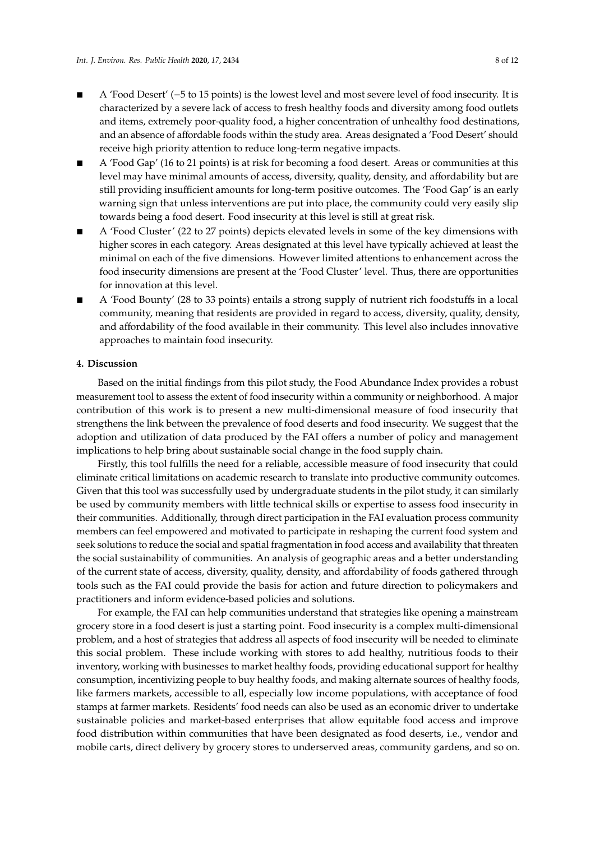- A 'Food Desert' (−5 to 15 points) is the lowest level and most severe level of food insecurity. It is characterized by a severe lack of access to fresh healthy foods and diversity among food outlets and items, extremely poor-quality food, a higher concentration of unhealthy food destinations, and an absence of affordable foods within the study area. Areas designated a 'Food Desert' should receive high priority attention to reduce long-term negative impacts.
- A 'Food Gap' (16 to 21 points) is at risk for becoming a food desert. Areas or communities at this level may have minimal amounts of access, diversity, quality, density, and affordability but are still providing insufficient amounts for long-term positive outcomes. The 'Food Gap' is an early warning sign that unless interventions are put into place, the community could very easily slip towards being a food desert. Food insecurity at this level is still at great risk.
- A 'Food Cluster' (22 to 27 points) depicts elevated levels in some of the key dimensions with higher scores in each category. Areas designated at this level have typically achieved at least the minimal on each of the five dimensions. However limited attentions to enhancement across the food insecurity dimensions are present at the 'Food Cluster' level. Thus, there are opportunities for innovation at this level.
- A 'Food Bounty' (28 to 33 points) entails a strong supply of nutrient rich foodstuffs in a local community, meaning that residents are provided in regard to access, diversity, quality, density, and affordability of the food available in their community. This level also includes innovative approaches to maintain food insecurity.

#### **4. Discussion**

Based on the initial findings from this pilot study, the Food Abundance Index provides a robust measurement tool to assess the extent of food insecurity within a community or neighborhood. A major contribution of this work is to present a new multi-dimensional measure of food insecurity that strengthens the link between the prevalence of food deserts and food insecurity. We suggest that the adoption and utilization of data produced by the FAI offers a number of policy and management implications to help bring about sustainable social change in the food supply chain.

Firstly, this tool fulfills the need for a reliable, accessible measure of food insecurity that could eliminate critical limitations on academic research to translate into productive community outcomes. Given that this tool was successfully used by undergraduate students in the pilot study, it can similarly be used by community members with little technical skills or expertise to assess food insecurity in their communities. Additionally, through direct participation in the FAI evaluation process community members can feel empowered and motivated to participate in reshaping the current food system and seek solutions to reduce the social and spatial fragmentation in food access and availability that threaten the social sustainability of communities. An analysis of geographic areas and a better understanding of the current state of access, diversity, quality, density, and affordability of foods gathered through tools such as the FAI could provide the basis for action and future direction to policymakers and practitioners and inform evidence-based policies and solutions.

For example, the FAI can help communities understand that strategies like opening a mainstream grocery store in a food desert is just a starting point. Food insecurity is a complex multi-dimensional problem, and a host of strategies that address all aspects of food insecurity will be needed to eliminate this social problem. These include working with stores to add healthy, nutritious foods to their inventory, working with businesses to market healthy foods, providing educational support for healthy consumption, incentivizing people to buy healthy foods, and making alternate sources of healthy foods, like farmers markets, accessible to all, especially low income populations, with acceptance of food stamps at farmer markets. Residents' food needs can also be used as an economic driver to undertake sustainable policies and market-based enterprises that allow equitable food access and improve food distribution within communities that have been designated as food deserts, i.e., vendor and mobile carts, direct delivery by grocery stores to underserved areas, community gardens, and so on.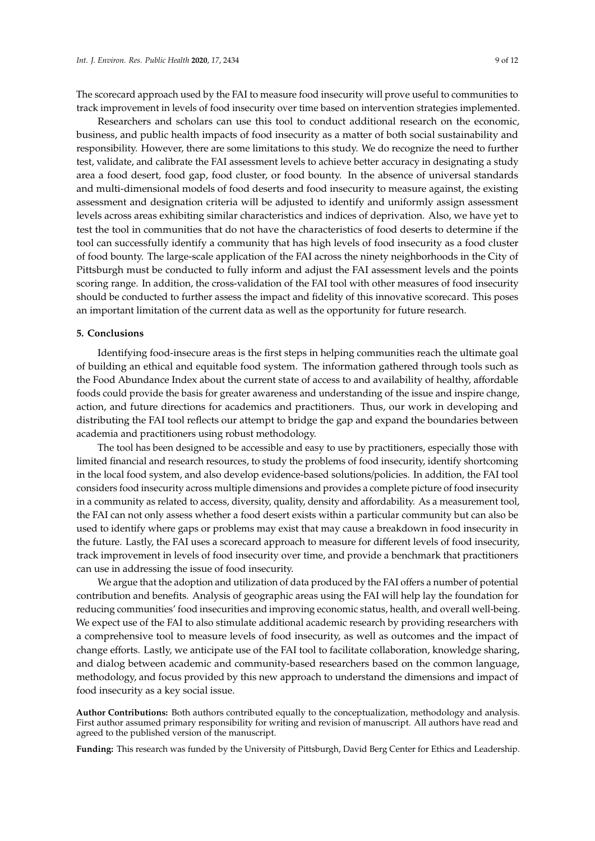The scorecard approach used by the FAI to measure food insecurity will prove useful to communities to track improvement in levels of food insecurity over time based on intervention strategies implemented.

Researchers and scholars can use this tool to conduct additional research on the economic, business, and public health impacts of food insecurity as a matter of both social sustainability and responsibility. However, there are some limitations to this study. We do recognize the need to further test, validate, and calibrate the FAI assessment levels to achieve better accuracy in designating a study area a food desert, food gap, food cluster, or food bounty. In the absence of universal standards and multi-dimensional models of food deserts and food insecurity to measure against, the existing assessment and designation criteria will be adjusted to identify and uniformly assign assessment levels across areas exhibiting similar characteristics and indices of deprivation. Also, we have yet to test the tool in communities that do not have the characteristics of food deserts to determine if the tool can successfully identify a community that has high levels of food insecurity as a food cluster of food bounty. The large-scale application of the FAI across the ninety neighborhoods in the City of Pittsburgh must be conducted to fully inform and adjust the FAI assessment levels and the points scoring range. In addition, the cross-validation of the FAI tool with other measures of food insecurity should be conducted to further assess the impact and fidelity of this innovative scorecard. This poses an important limitation of the current data as well as the opportunity for future research.

### **5. Conclusions**

Identifying food-insecure areas is the first steps in helping communities reach the ultimate goal of building an ethical and equitable food system. The information gathered through tools such as the Food Abundance Index about the current state of access to and availability of healthy, affordable foods could provide the basis for greater awareness and understanding of the issue and inspire change, action, and future directions for academics and practitioners. Thus, our work in developing and distributing the FAI tool reflects our attempt to bridge the gap and expand the boundaries between academia and practitioners using robust methodology.

The tool has been designed to be accessible and easy to use by practitioners, especially those with limited financial and research resources, to study the problems of food insecurity, identify shortcoming in the local food system, and also develop evidence-based solutions/policies. In addition, the FAI tool considers food insecurity across multiple dimensions and provides a complete picture of food insecurity in a community as related to access, diversity, quality, density and affordability. As a measurement tool, the FAI can not only assess whether a food desert exists within a particular community but can also be used to identify where gaps or problems may exist that may cause a breakdown in food insecurity in the future. Lastly, the FAI uses a scorecard approach to measure for different levels of food insecurity, track improvement in levels of food insecurity over time, and provide a benchmark that practitioners can use in addressing the issue of food insecurity.

We argue that the adoption and utilization of data produced by the FAI offers a number of potential contribution and benefits. Analysis of geographic areas using the FAI will help lay the foundation for reducing communities' food insecurities and improving economic status, health, and overall well-being. We expect use of the FAI to also stimulate additional academic research by providing researchers with a comprehensive tool to measure levels of food insecurity, as well as outcomes and the impact of change efforts. Lastly, we anticipate use of the FAI tool to facilitate collaboration, knowledge sharing, and dialog between academic and community-based researchers based on the common language, methodology, and focus provided by this new approach to understand the dimensions and impact of food insecurity as a key social issue.

**Author Contributions:** Both authors contributed equally to the conceptualization, methodology and analysis. First author assumed primary responsibility for writing and revision of manuscript. All authors have read and agreed to the published version of the manuscript.

**Funding:** This research was funded by the University of Pittsburgh, David Berg Center for Ethics and Leadership.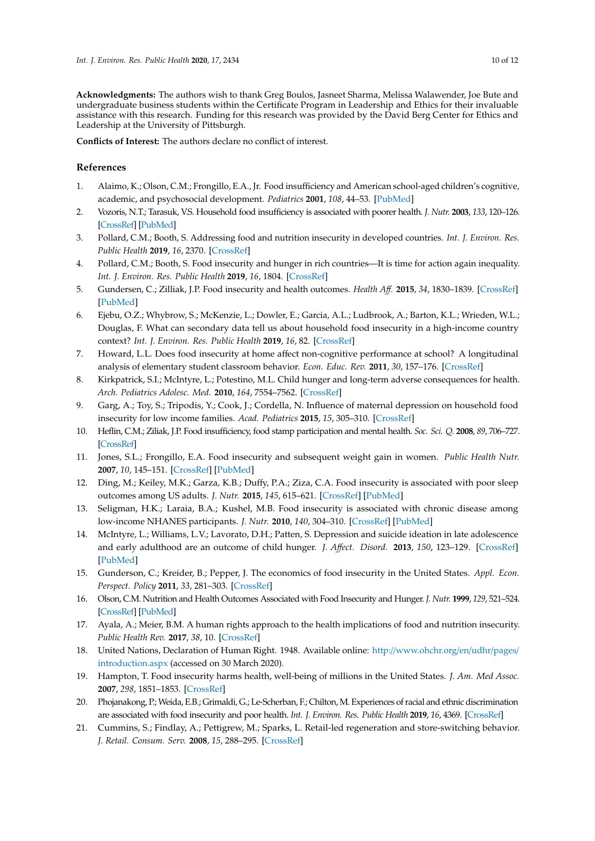**Acknowledgments:** The authors wish to thank Greg Boulos, Jasneet Sharma, Melissa Walawender, Joe Bute and undergraduate business students within the Certificate Program in Leadership and Ethics for their invaluable assistance with this research. Funding for this research was provided by the David Berg Center for Ethics and Leadership at the University of Pittsburgh.

**Conflicts of Interest:** The authors declare no conflict of interest.

# **References**

- <span id="page-9-0"></span>1. Alaimo, K.; Olson, C.M.; Frongillo, E.A., Jr. Food insufficiency and American school-aged children's cognitive, academic, and psychosocial development. *Pediatrics* **2001**, *108*, 44–53. [\[PubMed\]](http://www.ncbi.nlm.nih.gov/pubmed/11433053)
- <span id="page-9-1"></span>2. Vozoris, N.T.; Tarasuk, V.S. Household food insufficiency is associated with poorer health. *J. Nutr.* **2003**, *133*, 120–126. [\[CrossRef\]](http://dx.doi.org/10.1093/jn/133.1.120) [\[PubMed\]](http://www.ncbi.nlm.nih.gov/pubmed/12514278)
- <span id="page-9-2"></span>3. Pollard, C.M.; Booth, S. Addressing food and nutrition insecurity in developed countries. *Int. J. Environ. Res. Public Health* **2019**, *16*, 2370. [\[CrossRef\]](http://dx.doi.org/10.3390/ijerph16132370)
- <span id="page-9-3"></span>4. Pollard, C.M.; Booth, S. Food insecurity and hunger in rich countries—It is time for action again inequality. *Int. J. Environ. Res. Public Health* **2019**, *16*, 1804. [\[CrossRef\]](http://dx.doi.org/10.3390/ijerph16101804)
- 5. Gundersen, C.; Zilliak, J.P. Food insecurity and health outcomes. *Health A*ff*.* **2015**, *34*, 1830–1839. [\[CrossRef\]](http://dx.doi.org/10.1377/hlthaff.2015.0645) [\[PubMed\]](http://www.ncbi.nlm.nih.gov/pubmed/26526240)
- <span id="page-9-4"></span>6. Ejebu, O.Z.; Whybrow, S.; McKenzie, L.; Dowler, E.; Garcia, A.L.; Ludbrook, A.; Barton, K.L.; Wrieden, W.L.; Douglas, F. What can secondary data tell us about household food insecurity in a high-income country context? *Int. J. Environ. Res. Public Health* **2019**, *16*, 82. [\[CrossRef\]](http://dx.doi.org/10.3390/ijerph16010082)
- <span id="page-9-5"></span>7. Howard, L.L. Does food insecurity at home affect non-cognitive performance at school? A longitudinal analysis of elementary student classroom behavior. *Econ. Educ. Rev.* **2011**, *30*, 157–176. [\[CrossRef\]](http://dx.doi.org/10.1016/j.econedurev.2010.08.003)
- <span id="page-9-6"></span>8. Kirkpatrick, S.I.; McIntyre, L.; Potestino, M.L. Child hunger and long-term adverse consequences for health. *Arch. Pediatrics Adolesc. Med.* **2010**, *164*, 7554–7562. [\[CrossRef\]](http://dx.doi.org/10.1001/archpediatrics.2010.117)
- <span id="page-9-7"></span>9. Garg, A.; Toy, S.; Tripodis, Y.; Cook, J.; Cordella, N. Influence of maternal depression on household food insecurity for low income families. *Acad. Pediatrics* **2015**, *15*, 305–310. [\[CrossRef\]](http://dx.doi.org/10.1016/j.acap.2014.10.002)
- <span id="page-9-8"></span>10. Heflin, C.M.; Ziliak, J.P. Food insufficiency, food stamp participation and mental health. *Soc. Sci. Q.* **2008**, *89*, 706–727. [\[CrossRef\]](http://dx.doi.org/10.1111/j.1540-6237.2008.00556.x)
- <span id="page-9-9"></span>11. Jones, S.L.; Frongillo, E.A. Food insecurity and subsequent weight gain in women. *Public Health Nutr.* **2007**, *10*, 145–151. [\[CrossRef\]](http://dx.doi.org/10.1017/S1368980007246737) [\[PubMed\]](http://www.ncbi.nlm.nih.gov/pubmed/17261223)
- <span id="page-9-10"></span>12. Ding, M.; Keiley, M.K.; Garza, K.B.; Duffy, P.A.; Ziza, C.A. Food insecurity is associated with poor sleep outcomes among US adults. *J. Nutr.* **2015**, *145*, 615–621. [\[CrossRef\]](http://dx.doi.org/10.3945/jn.114.199919) [\[PubMed\]](http://www.ncbi.nlm.nih.gov/pubmed/25733479)
- <span id="page-9-11"></span>13. Seligman, H.K.; Laraia, B.A.; Kushel, M.B. Food insecurity is associated with chronic disease among low-income NHANES participants. *J. Nutr.* **2010**, *140*, 304–310. [\[CrossRef\]](http://dx.doi.org/10.3945/jn.109.112573) [\[PubMed\]](http://www.ncbi.nlm.nih.gov/pubmed/20032485)
- <span id="page-9-12"></span>14. McIntyre, L.; Williams, L.V.; Lavorato, D.H.; Patten, S. Depression and suicide ideation in late adolescence and early adulthood are an outcome of child hunger. *J. A*ff*ect. Disord.* **2013**, *150*, 123–129. [\[CrossRef\]](http://dx.doi.org/10.1016/j.jad.2012.11.029) [\[PubMed\]](http://www.ncbi.nlm.nih.gov/pubmed/23276702)
- <span id="page-9-13"></span>15. Gunderson, C.; Kreider, B.; Pepper, J. The economics of food insecurity in the United States. *Appl. Econ. Perspect. Policy* **2011**, *33*, 281–303. [\[CrossRef\]](http://dx.doi.org/10.1093/aepp/ppr022)
- <span id="page-9-14"></span>16. Olson, C.M. Nutrition and Health Outcomes Associated with Food Insecurity and Hunger. *J. Nutr.* **1999**, *129*, 521–524. [\[CrossRef\]](http://dx.doi.org/10.1093/jn/129.2.521S) [\[PubMed\]](http://www.ncbi.nlm.nih.gov/pubmed/10064322)
- <span id="page-9-15"></span>17. Ayala, A.; Meier, B.M. A human rights approach to the health implications of food and nutrition insecurity. *Public Health Rev.* **2017**, *38*, 10. [\[CrossRef\]](http://dx.doi.org/10.1186/s40985-017-0056-5)
- <span id="page-9-16"></span>18. United Nations, Declaration of Human Right. 1948. Available online: http://[www.ohchr.org](http://www.ohchr.org/en/udhr/pages/introduction.aspx)/en/udhr/pages/ [introduction.aspx](http://www.ohchr.org/en/udhr/pages/introduction.aspx) (accessed on 30 March 2020).
- <span id="page-9-17"></span>19. Hampton, T. Food insecurity harms health, well-being of millions in the United States. *J. Am. Med Assoc.* **2007**, *298*, 1851–1853. [\[CrossRef\]](http://dx.doi.org/10.1001/jama.298.16.1851)
- <span id="page-9-18"></span>20. Phojanakong, P.; Weida, E.B.; Grimaldi, G.; Le-Scherban, F.; Chilton, M. Experiences of racial and ethnic discrimination are associated with food insecurity and poor health. *Int. J. Environ. Res. Public Health* **2019**, *16*, 4369. [\[CrossRef\]](http://dx.doi.org/10.3390/ijerph16224369)
- <span id="page-9-19"></span>21. Cummins, S.; Findlay, A.; Pettigrew, M.; Sparks, L. Retail-led regeneration and store-switching behavior. *J. Retail. Consum. Serv.* **2008**, *15*, 288–295. [\[CrossRef\]](http://dx.doi.org/10.1016/j.jretconser.2007.06.002)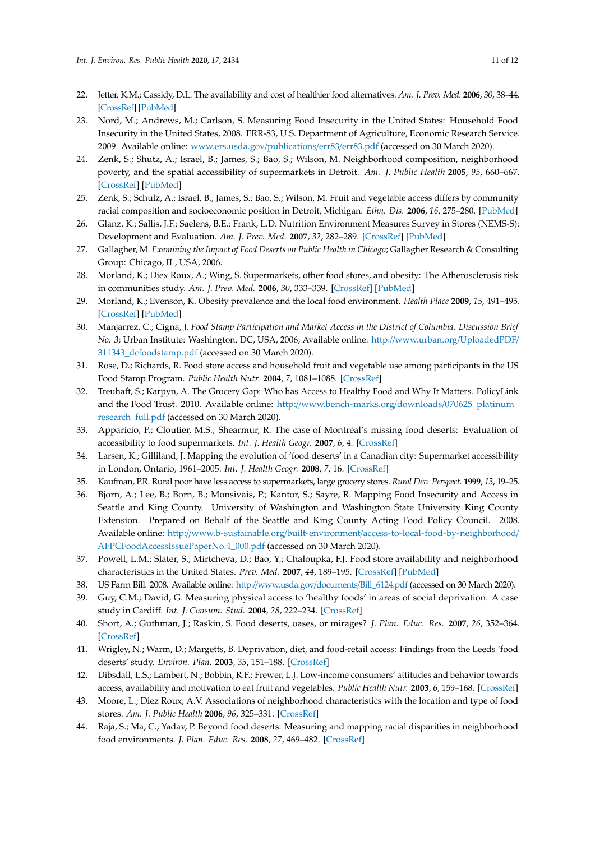- <span id="page-10-0"></span>22. Jetter, K.M.; Cassidy, D.L. The availability and cost of healthier food alternatives. *Am. J. Prev. Med.* **2006**, *30*, 38–44. [\[CrossRef\]](http://dx.doi.org/10.1016/j.amepre.2005.08.039) [\[PubMed\]](http://www.ncbi.nlm.nih.gov/pubmed/16414422)
- <span id="page-10-1"></span>23. Nord, M.; Andrews, M.; Carlson, S. Measuring Food Insecurity in the United States: Household Food Insecurity in the United States, 2008. ERR-83, U.S. Department of Agriculture, Economic Research Service. 2009. Available online: [www.ers.usda.gov](www.ers.usda.gov/publications/err83/err83.pdf)/publications/err83/err83.pdf (accessed on 30 March 2020).
- <span id="page-10-2"></span>24. Zenk, S.; Shutz, A.; Israel, B.; James, S.; Bao, S.; Wilson, M. Neighborhood composition, neighborhood poverty, and the spatial accessibility of supermarkets in Detroit. *Am. J. Public Health* **2005**, *95*, 660–667. [\[CrossRef\]](http://dx.doi.org/10.2105/AJPH.2004.042150) [\[PubMed\]](http://www.ncbi.nlm.nih.gov/pubmed/15798127)
- <span id="page-10-3"></span>25. Zenk, S.; Schulz, A.; Israel, B.; James, S.; Bao, S.; Wilson, M. Fruit and vegetable access differs by community racial composition and socioeconomic position in Detroit, Michigan. *Ethn. Dis.* **2006**, *16*, 275–280. [\[PubMed\]](http://www.ncbi.nlm.nih.gov/pubmed/16599383)
- <span id="page-10-4"></span>26. Glanz, K.; Sallis, J.F.; Saelens, B.E.; Frank, L.D. Nutrition Environment Measures Survey in Stores (NEMS-S): Development and Evaluation. *Am. J. Prev. Med.* **2007**, *32*, 282–289. [\[CrossRef\]](http://dx.doi.org/10.1016/j.amepre.2006.12.019) [\[PubMed\]](http://www.ncbi.nlm.nih.gov/pubmed/17383559)
- <span id="page-10-5"></span>27. Gallagher, M. *Examining the Impact of Food Deserts on Public Health in Chicago*; Gallagher Research & Consulting Group: Chicago, IL, USA, 2006.
- <span id="page-10-6"></span>28. Morland, K.; Diex Roux, A.; Wing, S. Supermarkets, other food stores, and obesity: The Atherosclerosis risk in communities study. *Am. J. Prev. Med.* **2006**, *30*, 333–339. [\[CrossRef\]](http://dx.doi.org/10.1016/j.amepre.2005.11.003) [\[PubMed\]](http://www.ncbi.nlm.nih.gov/pubmed/16530621)
- <span id="page-10-7"></span>29. Morland, K.; Evenson, K. Obesity prevalence and the local food environment. *Health Place* **2009**, *15*, 491–495. [\[CrossRef\]](http://dx.doi.org/10.1016/j.healthplace.2008.09.004) [\[PubMed\]](http://www.ncbi.nlm.nih.gov/pubmed/19022700)
- <span id="page-10-8"></span>30. Manjarrez, C.; Cigna, J. *Food Stamp Participation and Market Access in the District of Columbia. Discussion Brief No. 3*; Urban Institute: Washington, DC, USA, 2006; Available online: http://[www.urban.org](http://www.urban.org/UploadedPDF/311343_dcfoodstamp.pdf)/UploadedPDF/ [311343\\_dcfoodstamp.pdf](http://www.urban.org/UploadedPDF/311343_dcfoodstamp.pdf) (accessed on 30 March 2020).
- <span id="page-10-9"></span>31. Rose, D.; Richards, R. Food store access and household fruit and vegetable use among participants in the US Food Stamp Program. *Public Health Nutr.* **2004**, *7*, 1081–1088. [\[CrossRef\]](http://dx.doi.org/10.1079/PHN2004648)
- <span id="page-10-10"></span>32. Treuhaft, S.; Karpyn, A. The Grocery Gap: Who has Access to Healthy Food and Why It Matters. PolicyLink and the Food Trust. 2010. Available online: http://[www.bench-marks.org](http://www.bench-marks.org/downloads/070625_platinum_research_full.pdf)/downloads/070625\_platinum\_ [research\\_full.pdf](http://www.bench-marks.org/downloads/070625_platinum_research_full.pdf) (accessed on 30 March 2020).
- <span id="page-10-11"></span>33. Apparicio, P.; Cloutier, M.S.; Shearmur, R. The case of Montréal's missing food deserts: Evaluation of accessibility to food supermarkets. *Int. J. Health Geogr.* **2007**, *6*, 4. [\[CrossRef\]](http://dx.doi.org/10.1186/1476-072X-6-4)
- <span id="page-10-12"></span>34. Larsen, K.; Gilliland, J. Mapping the evolution of 'food deserts' in a Canadian city: Supermarket accessibility in London, Ontario, 1961–2005. *Int. J. Health Geogr.* **2008**, *7*, 16. [\[CrossRef\]](http://dx.doi.org/10.1186/1476-072X-7-16)
- <span id="page-10-14"></span><span id="page-10-13"></span>35. Kaufman, P.R. Rural poor have less access to supermarkets, large grocery stores. *Rural Dev. Perspect.* **1999**, *13*, 19–25.
- 36. Bjorn, A.; Lee, B.; Born, B.; Monsivais, P.; Kantor, S.; Sayre, R. Mapping Food Insecurity and Access in Seattle and King County. University of Washington and Washington State University King County Extension. Prepared on Behalf of the Seattle and King County Acting Food Policy Council. 2008. Available online: http://www.b-sustainable.org/built-environment/[access-to-local-food-by-neighborhood](http://www.b-sustainable.org/built-environment/access-to-local-food-by-neighborhood/AFPCFoodAccessIssuePaperNo.4_000.pdf)/ [AFPCFoodAccessIssuePaperNo.4\\_000.pdf](http://www.b-sustainable.org/built-environment/access-to-local-food-by-neighborhood/AFPCFoodAccessIssuePaperNo.4_000.pdf) (accessed on 30 March 2020).
- <span id="page-10-15"></span>37. Powell, L.M.; Slater, S.; Mirtcheva, D.; Bao, Y.; Chaloupka, F.J. Food store availability and neighborhood characteristics in the United States. *Prev. Med.* **2007**, *44*, 189–195. [\[CrossRef\]](http://dx.doi.org/10.1016/j.ypmed.2006.08.008) [\[PubMed\]](http://www.ncbi.nlm.nih.gov/pubmed/16997358)
- <span id="page-10-16"></span>38. US Farm Bill. 2008. Available online: http://[www.usda.gov](http://www.usda.gov/documents/Bill_6124.pdf)/documents/Bill\_6124.pdf (accessed on 30 March 2020).
- <span id="page-10-17"></span>39. Guy, C.M.; David, G. Measuring physical access to 'healthy foods' in areas of social deprivation: A case study in Cardiff. *Int. J. Consum. Stud.* **2004**, *28*, 222–234. [\[CrossRef\]](http://dx.doi.org/10.1111/j.1470-6431.2003.00340.x)
- <span id="page-10-18"></span>40. Short, A.; Guthman, J.; Raskin, S. Food deserts, oases, or mirages? *J. Plan. Educ. Res.* **2007**, *26*, 352–364. [\[CrossRef\]](http://dx.doi.org/10.1177/0739456X06297795)
- <span id="page-10-19"></span>41. Wrigley, N.; Warm, D.; Margetts, B. Deprivation, diet, and food-retail access: Findings from the Leeds 'food deserts' study. *Environ. Plan.* **2003**, *35*, 151–188. [\[CrossRef\]](http://dx.doi.org/10.1068/a35150)
- <span id="page-10-20"></span>42. Dibsdall, L.S.; Lambert, N.; Bobbin, R.F.; Frewer, L.J. Low-income consumers' attitudes and behavior towards access, availability and motivation to eat fruit and vegetables. *Public Health Nutr.* **2003**, *6*, 159–168. [\[CrossRef\]](http://dx.doi.org/10.1079/PHN2002412)
- <span id="page-10-21"></span>43. Moore, L.; Diez Roux, A.V. Associations of neighborhood characteristics with the location and type of food stores. *Am. J. Public Health* **2006**, *96*, 325–331. [\[CrossRef\]](http://dx.doi.org/10.2105/AJPH.2004.058040)
- <span id="page-10-22"></span>44. Raja, S.; Ma, C.; Yadav, P. Beyond food deserts: Measuring and mapping racial disparities in neighborhood food environments. *J. Plan. Educ. Res.* **2008**, *27*, 469–482. [\[CrossRef\]](http://dx.doi.org/10.1177/0739456X08317461)